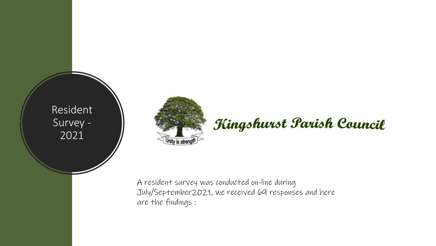Resident Survey - 2021



## Kingshurst Parish Council

A resident survey was conducted on-line during July/September2021, we received 69 responses and here are the findings :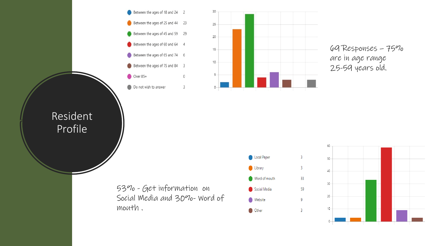



69 Responses – 75% are in age range 25-59 years old.

Resident Profile

> 53% - Get information on Social Media and 30%- Word of mouth .



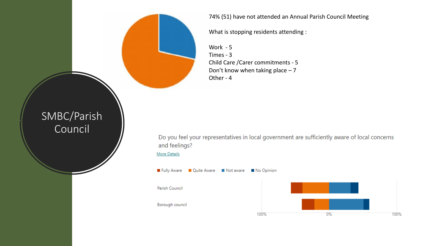74% (51) have not attended an Annual Parish Council Meeting

What is stopping residents attending :

Work - 5 Times - 3 Child Care /Carer commitments - 5 Don't know when taking place – 7 Other - 4

## SMBC/Parish Council

Do you feel your representatives in local government are sufficiently aware of local concerns and feelings? **More Details** 

100%

Fully Aware Cuite Aware Mot aware Mo Opinion Parish Council Borough council 100% 0%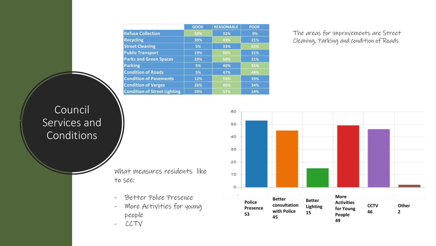|                                     | <b>GOOD</b> | <b>REASONABLE</b> | <b>POOR</b> |
|-------------------------------------|-------------|-------------------|-------------|
| <b>Refuse Collection</b>            | 58%         | 32%               | 9%          |
| <b>Recycling</b>                    | 39%         | 43%               | 21%         |
| <b>Street Cleaning</b>              | 5%          | 33%               | 62%         |
| <b>Public Transport</b>             | 19%         | 50%               | 31%         |
| <b>Parks and Green Spaces</b>       | 29%         | 50%               | 21%         |
| <b>Parking</b>                      | 5%          | 40%               | 55%         |
| <b>Condition of Roads</b>           | 5%          | 47%               | 48%         |
| <b>Condition of Pavements</b>       | 12%         | 55%               | 33%         |
| <b>Condition of Verges</b>          | 26%         | 40%               | 34%         |
| <b>Condition of Street Lighting</b> | 29%         | 57%               | 14%         |

60

The areas for improvements are Street Cleaning, Parking and condition of Roads

## Council Services and Conditions

50 40 30 20  $10 O-$ **More Better Better Police Activities consultation CCTV Other Lighting Presence for Young with Police 46 2 15 53 People 45 49**

What measures residents like to see:

- Better Police Presence
- More Activities for young people
- CCTV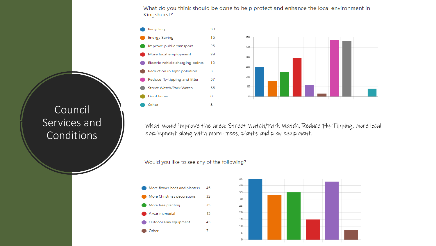What do you think should be done to help protect and enhance the local environment in Kingshurst?



What would improve the area: Street Watch/Park Watch, Reduce Fly-Tipping, more local employment along with more trees, plants and play equipment.

Would you like to see any of the following?

More flower beds and planters 45 More Christmas decorations 33 More tree planting 35 A war memorial 15 Outdoor Play equipment 43 **O** Other 7



Council Services and Conditions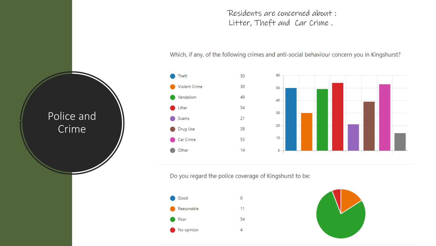Residents are concerned about : Litter, Theft and Car Crime .

#### Which, if any, of the following crimes and anti-social behaviour concern you in Kingshurst?



Do you regard the police coverage of Kingshurst to be:





# Police and Crime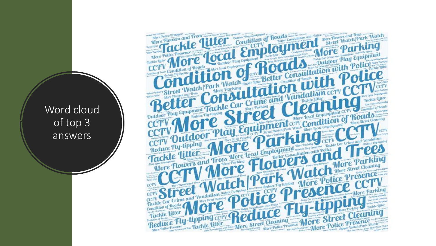Word cloud of top 3 answers